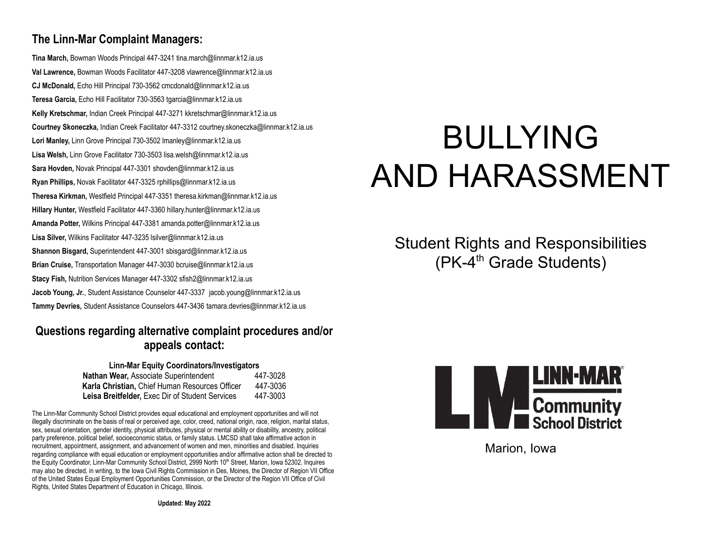#### **The Linn-Mar Complaint Managers:**

**Tina March,** Bowman Woods Principal 447-3241 tina.march@linnmar.k12.ia.us **Val Lawrence,** Bowman Woods Facilitator 447-3208 vlawrence@linnmar.k12.ia.us **CJ McDonald,** Echo Hill Principal 730-3562 cmcdonald@linnmar.k12.ia.us **Teresa Garcia,** Echo Hill Facilitator 730-3563 tgarcia@linnmar.k12.ia.us **Kelly Kretschmar,** Indian Creek Principal 447-3271 kkretschmar@linnmar.k12.ia.us **Courtney Skoneczka,** Indian Creek Facilitator 447-3312 courtney.skoneczka@linnmar.k12.ia.us **Lori Manley,** Linn Grove Principal 730-3502 lmanley@linnmar.k12.ia.us **Lisa Welsh,** Linn Grove Facilitator 730-3503 lisa.welsh@linnmar.k12.ia.us **Sara Hovden,** Novak Principal 447-3301 shovden@linnmar.k12.ia.us **Ryan Phillips,** Novak Facilitator 447-3325 rphillips@linnmar.k12.ia.us **Theresa Kirkman,** Westfield Principal 447-3351 theresa.kirkman@linnmar.k12.ia.us **Hillary Hunter,** Westfield Facilitator 447-3360 hillary.hunter@linnmar.k12.ia.us **Amanda Potter,** Wilkins Principal 447-3381 amanda.potter@linnmar.k12.ia.us **Lisa Silver,** Wilkins Facilitator 447-3235 lsilver@linnmar.k12.ia.us **Shannon Bisgard,** Superintendent 447-3001 sbisgard@linnmar.k12.ia.us **Brian Cruise,** Transportation Manager 447-3030 bcruise@linnmar.k12.ia.us **Stacy Fish,** Nutrition Services Manager 447-3302 sfish2@linnmar.k12.ia.us **Jacob Young, Jr.**, Student Assistance Counselor 447-3337 jacob.young@linnmar.k12.ia.us **Tammy Devries,** Student Assistance Counselors 447-3436 tamara.devries@linnmar.k12.ia.us

#### **Questions regarding alternative complaint procedures and/or appeals contact:**

#### **Linn-Mar Equity Coordinators/Investigators**

| Nathan Wear, Associate Superintendent                  | 447-3028 |
|--------------------------------------------------------|----------|
| Karla Christian. Chief Human Resources Officer         | 447-3036 |
| <b>Leisa Breitfelder.</b> Exec Dir of Student Services | 447-3003 |

The Linn-Mar Community School District provides equal educational and employment opportunities and will not illegally discriminate on the basis of real or perceived age, color, creed, national origin, race, religion, marital status, sex, sexual orientation, gender identity, physical attributes, physical or mental ability or disability, ancestry, political party preference, political belief, socioeconomic status, or family status. LMCSD shall take affirmative action in recruitment, appointment, assignment, and advancement of women and men, minorities and disabled. Inquiries regarding compliance with equal education or employment opportunities and/or affirmative action shall be directed to the Equity Coordinator, Linn-Mar Community School District, 2999 North 10<sup>th</sup> Street, Marion, Iowa 52302. Inquires may also be directed, in writing, to the Iowa Civil Rights Commission in Des, Moines, the Director of Region VII Office of the United States Equal Employment Opportunities Commission, or the Director of the Region VII Office of Civil Rights, United States Department of Education in Chicago, Illinois.

# BULLYING AND HARASSMENT

Student Rights and Responsibilities  $(PK-4<sup>th</sup>$  Grade Students)



Marion, Iowa

**Updated: May 2022**